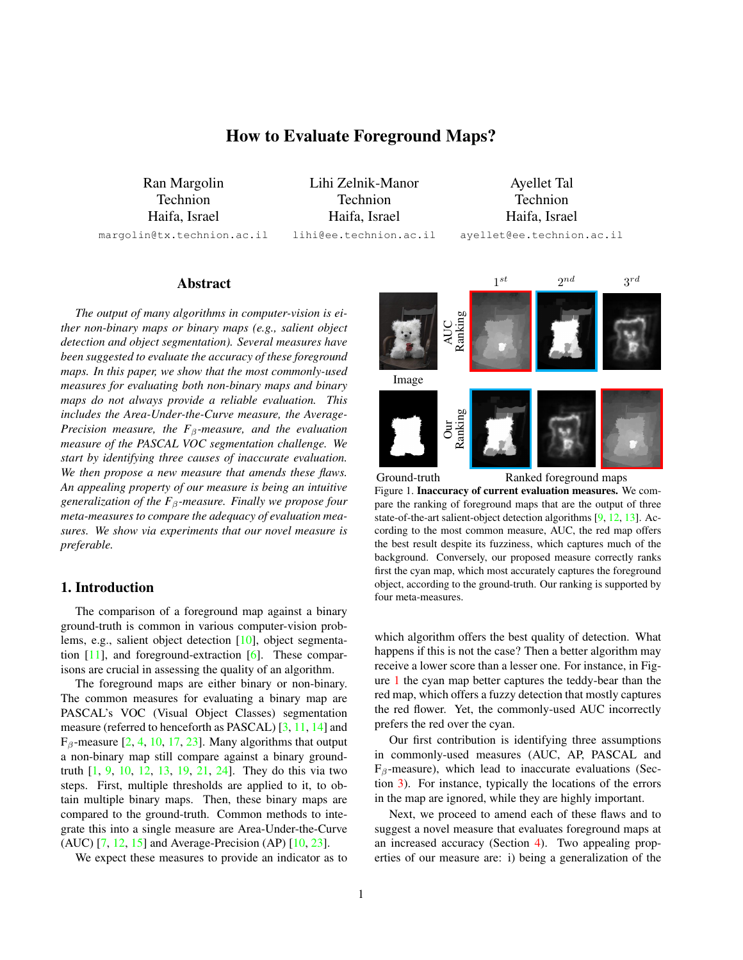# How to Evaluate Foreground Maps?

<span id="page-0-1"></span>Ran Margolin Technion Haifa, Israel margolin@tx.technion.ac.il

Lihi Zelnik-Manor Technion Haifa, Israel lihi@ee.technion.ac.il

Ayellet Tal Technion Haifa, Israel ayellet@ee.technion.ac.il

## Abstract

*The output of many algorithms in computer-vision is either non-binary maps or binary maps (e.g., salient object detection and object segmentation). Several measures have been suggested to evaluate the accuracy of these foreground maps. In this paper, we show that the most commonly-used measures for evaluating both non-binary maps and binary maps do not always provide a reliable evaluation. This includes the Area-Under-the-Curve measure, the Average-Precision measure, the F*β*-measure, and the evaluation measure of the PASCAL VOC segmentation challenge. We start by identifying three causes of inaccurate evaluation. We then propose a new measure that amends these flaws. An appealing property of our measure is being an intuitive generalization of the F*β*-measure. Finally we propose four meta-measures to compare the adequacy of evaluation measures. We show via experiments that our novel measure is preferable.*

## 1. Introduction

The comparison of a foreground map against a binary ground-truth is common in various computer-vision problems, e.g., salient object detection [\[10\]](#page-7-0), object segmentation [\[11\]](#page-7-1), and foreground-extraction [\[6\]](#page-7-2). These comparisons are crucial in assessing the quality of an algorithm.

The foreground maps are either binary or non-binary. The common measures for evaluating a binary map are PASCAL's VOC (Visual Object Classes) segmentation measure (referred to henceforth as PASCAL) [\[3,](#page-7-3) [11,](#page-7-1) [14\]](#page-7-4) and  $F_\beta$ -measure [\[2,](#page-7-5) [4,](#page-7-6) [10,](#page-7-0) [17,](#page-7-7) [23\]](#page-7-8). Many algorithms that output a non-binary map still compare against a binary groundtruth [\[1,](#page-7-9) [9,](#page-7-10) [10,](#page-7-0) [12,](#page-7-11) [13,](#page-7-12) [19,](#page-7-13) [21,](#page-7-14) [24\]](#page-7-15). They do this via two steps. First, multiple thresholds are applied to it, to obtain multiple binary maps. Then, these binary maps are compared to the ground-truth. Common methods to integrate this into a single measure are Area-Under-the-Curve (AUC) [\[7,](#page-7-16) [12,](#page-7-11) [15\]](#page-7-17) and Average-Precision (AP) [\[10,](#page-7-0) [23\]](#page-7-8).

We expect these measures to provide an indicator as to



<span id="page-0-0"></span>Ground-truth Ranked foreground maps Figure 1. Inaccuracy of current evaluation measures. We compare the ranking of foreground maps that are the output of three state-of-the-art salient-object detection algorithms [\[9,](#page-7-10) [12,](#page-7-11) [13\]](#page-7-12). According to the most common measure, AUC, the red map offers the best result despite its fuzziness, which captures much of the background. Conversely, our proposed measure correctly ranks first the cyan map, which most accurately captures the foreground object, according to the ground-truth. Our ranking is supported by four meta-measures.

which algorithm offers the best quality of detection. What happens if this is not the case? Then a better algorithm may receive a lower score than a lesser one. For instance, in Figure [1](#page-0-0) the cyan map better captures the teddy-bear than the red map, which offers a fuzzy detection that mostly captures the red flower. Yet, the commonly-used AUC incorrectly prefers the red over the cyan.

Our first contribution is identifying three assumptions in commonly-used measures (AUC, AP, PASCAL and  $F_\beta$ -measure), which lead to inaccurate evaluations (Section [3\)](#page-1-0). For instance, typically the locations of the errors in the map are ignored, while they are highly important.

Next, we proceed to amend each of these flaws and to suggest a novel measure that evaluates foreground maps at an increased accuracy (Section [4\)](#page-3-0). Two appealing properties of our measure are: i) being a generalization of the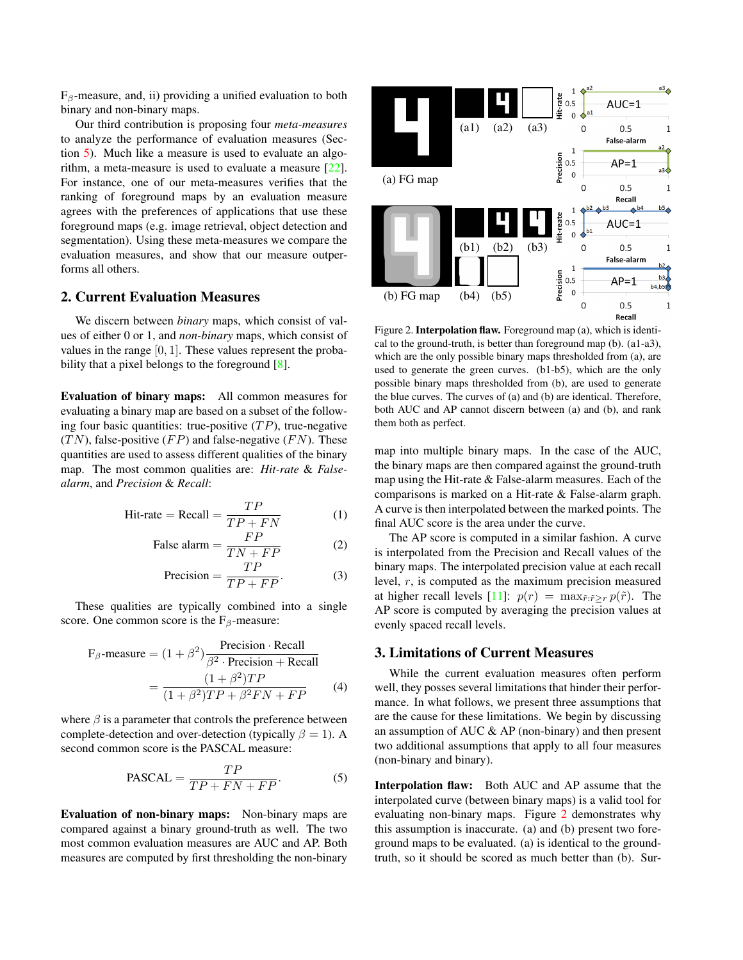<span id="page-1-2"></span> $F_\beta$ -measure, and, ii) providing a unified evaluation to both binary and non-binary maps.

Our third contribution is proposing four *meta-measures* to analyze the performance of evaluation measures (Section [5\)](#page-4-0). Much like a measure is used to evaluate an algorithm, a meta-measure is used to evaluate a measure [\[22\]](#page-7-18). For instance, one of our meta-measures verifies that the ranking of foreground maps by an evaluation measure agrees with the preferences of applications that use these foreground maps (e.g. image retrieval, object detection and segmentation). Using these meta-measures we compare the evaluation measures, and show that our measure outperforms all others.

## 2. Current Evaluation Measures

We discern between *binary* maps, which consist of values of either 0 or 1, and *non-binary* maps, which consist of values in the range  $[0, 1]$ . These values represent the proba-bility that a pixel belongs to the foreground [\[8\]](#page-7-19).

Evaluation of binary maps: All common measures for evaluating a binary map are based on a subset of the following four basic quantities: true-positive  $(TP)$ , true-negative  $(TN)$ , false-positive  $(FP)$  and false-negative  $(FN)$ . These quantities are used to assess different qualities of the binary map. The most common qualities are: *Hit-rate* & *Falsealarm*, and *Precision* & *Recall*:

$$
Hit-rate = Recall = \frac{TP}{TP + FN}
$$
 (1)

$$
\text{False alarm} = \frac{FP}{TN + FP} \tag{2}
$$

$$
Precision = \frac{TP}{TP + FP}.
$$
 (3)

These qualities are typically combined into a single score. One common score is the  $F_\beta$ -measure:

$$
F_{\beta}
$$
-measure =  $(1 + \beta^2) \frac{\text{Precision} \cdot \text{Recall}}{\beta^2 \cdot \text{Precision} + \text{Recall}}$   
=  $\frac{(1 + \beta^2)TP}{(1 + \beta^2)TP + \beta^2 FN + FP}$  (4)

where  $\beta$  is a parameter that controls the preference between complete-detection and over-detection (typically  $\beta = 1$ ). A second common score is the PASCAL measure:

$$
PASCAL = \frac{TP}{TP + FN + FP}.
$$
 (5)

Evaluation of non-binary maps: Non-binary maps are compared against a binary ground-truth as well. The two most common evaluation measures are AUC and AP. Both measures are computed by first thresholding the non-binary



<span id="page-1-1"></span>Figure 2. Interpolation flaw. Foreground map (a), which is identical to the ground-truth, is better than foreground map (b). (a1-a3), which are the only possible binary maps thresholded from (a), are used to generate the green curves. (b1-b5), which are the only possible binary maps thresholded from (b), are used to generate the blue curves. The curves of (a) and (b) are identical. Therefore, both AUC and AP cannot discern between (a) and (b), and rank them both as perfect.

map into multiple binary maps. In the case of the AUC, the binary maps are then compared against the ground-truth map using the Hit-rate & False-alarm measures. Each of the comparisons is marked on a Hit-rate & False-alarm graph. A curve is then interpolated between the marked points. The final AUC score is the area under the curve.

The AP score is computed in a similar fashion. A curve is interpolated from the Precision and Recall values of the binary maps. The interpolated precision value at each recall level, r, is computed as the maximum precision measured at higher recall levels [\[11\]](#page-7-1):  $p(r) = \max_{\tilde{r}: \tilde{r} > r} p(\tilde{r})$ . The AP score is computed by averaging the precision values at evenly spaced recall levels.

## <span id="page-1-0"></span>3. Limitations of Current Measures

While the current evaluation measures often perform well, they posses several limitations that hinder their performance. In what follows, we present three assumptions that are the cause for these limitations. We begin by discussing an assumption of AUC & AP (non-binary) and then present two additional assumptions that apply to all four measures (non-binary and binary).

Interpolation flaw: Both AUC and AP assume that the interpolated curve (between binary maps) is a valid tool for evaluating non-binary maps. Figure [2](#page-1-1) demonstrates why this assumption is inaccurate. (a) and (b) present two foreground maps to be evaluated. (a) is identical to the groundtruth, so it should be scored as much better than (b). Sur-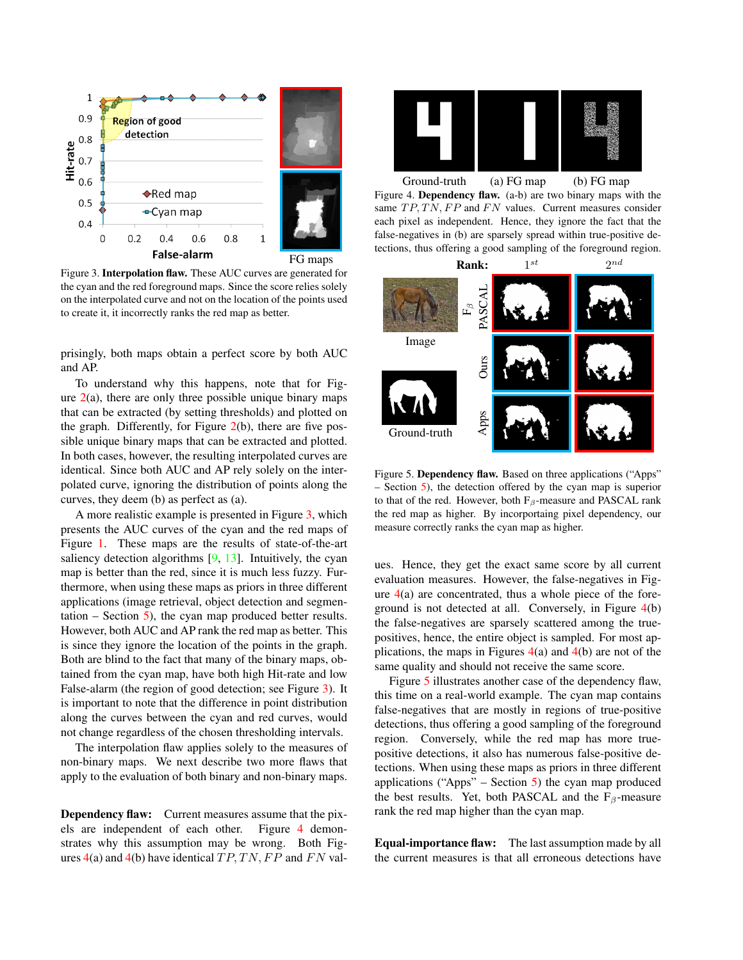<span id="page-2-3"></span>

<span id="page-2-0"></span>Figure 3. Interpolation flaw. These AUC curves are generated for the cyan and the red foreground maps. Since the score relies solely on the interpolated curve and not on the location of the points used to create it, it incorrectly ranks the red map as better.

prisingly, both maps obtain a perfect score by both AUC and AP.

To understand why this happens, note that for Figure  $2(a)$  $2(a)$ , there are only three possible unique binary maps that can be extracted (by setting thresholds) and plotted on the graph. Differently, for Figure  $2(b)$  $2(b)$ , there are five possible unique binary maps that can be extracted and plotted. In both cases, however, the resulting interpolated curves are identical. Since both AUC and AP rely solely on the interpolated curve, ignoring the distribution of points along the curves, they deem (b) as perfect as (a).

A more realistic example is presented in Figure [3,](#page-2-0) which presents the AUC curves of the cyan and the red maps of Figure [1.](#page-0-0) These maps are the results of state-of-the-art saliency detection algorithms [\[9,](#page-7-10) [13\]](#page-7-12). Intuitively, the cyan map is better than the red, since it is much less fuzzy. Furthermore, when using these maps as priors in three different applications (image retrieval, object detection and segmentation  $-$  Section  $\overline{5}$ ), the cyan map produced better results. However, both AUC and AP rank the red map as better. This is since they ignore the location of the points in the graph. Both are blind to the fact that many of the binary maps, obtained from the cyan map, have both high Hit-rate and low False-alarm (the region of good detection; see Figure [3\)](#page-2-0). It is important to note that the difference in point distribution along the curves between the cyan and red curves, would not change regardless of the chosen thresholding intervals.

The interpolation flaw applies solely to the measures of non-binary maps. We next describe two more flaws that apply to the evaluation of both binary and non-binary maps.

Dependency flaw: Current measures assume that the pixels are independent of each other. Figure [4](#page-2-1) demonstrates why this assumption may be wrong. Both Figures  $4(a)$  $4(a)$  and  $4(b)$  have identical  $TP, TN, FP$  and  $FN$  val-



<span id="page-2-1"></span>Ground-truth (a) FG map (b) FG map Figure 4. Dependency flaw. (a-b) are two binary maps with the same  $TP, TN, FP$  and  $FN$  values. Current measures consider each pixel as independent. Hence, they ignore the fact that the false-negatives in (b) are sparsely spread within true-positive detections, thus offering a good sampling of the foreground region.



<span id="page-2-2"></span>Figure 5. Dependency flaw. Based on three applications ("Apps" – Section [5\)](#page-4-0), the detection offered by the cyan map is superior to that of the red. However, both  $F_\beta$ -measure and PASCAL rank the red map as higher. By incorportaing pixel dependency, our measure correctly ranks the cyan map as higher.

ues. Hence, they get the exact same score by all current evaluation measures. However, the false-negatives in Figure  $4(a)$  $4(a)$  are concentrated, thus a whole piece of the foreground is not detected at all. Conversely, in Figure [4\(](#page-2-1)b) the false-negatives are sparsely scattered among the truepositives, hence, the entire object is sampled. For most applications, the maps in Figures  $4(a)$  $4(a)$  and  $4(b)$  are not of the same quality and should not receive the same score.

Figure [5](#page-2-2) illustrates another case of the dependency flaw, this time on a real-world example. The cyan map contains false-negatives that are mostly in regions of true-positive detections, thus offering a good sampling of the foreground region. Conversely, while the red map has more truepositive detections, it also has numerous false-positive detections. When using these maps as priors in three different applications ("Apps" – Section  $5$ ) the cyan map produced the best results. Yet, both PASCAL and the  $F_\beta$ -measure rank the red map higher than the cyan map.

Equal-importance flaw: The last assumption made by all the current measures is that all erroneous detections have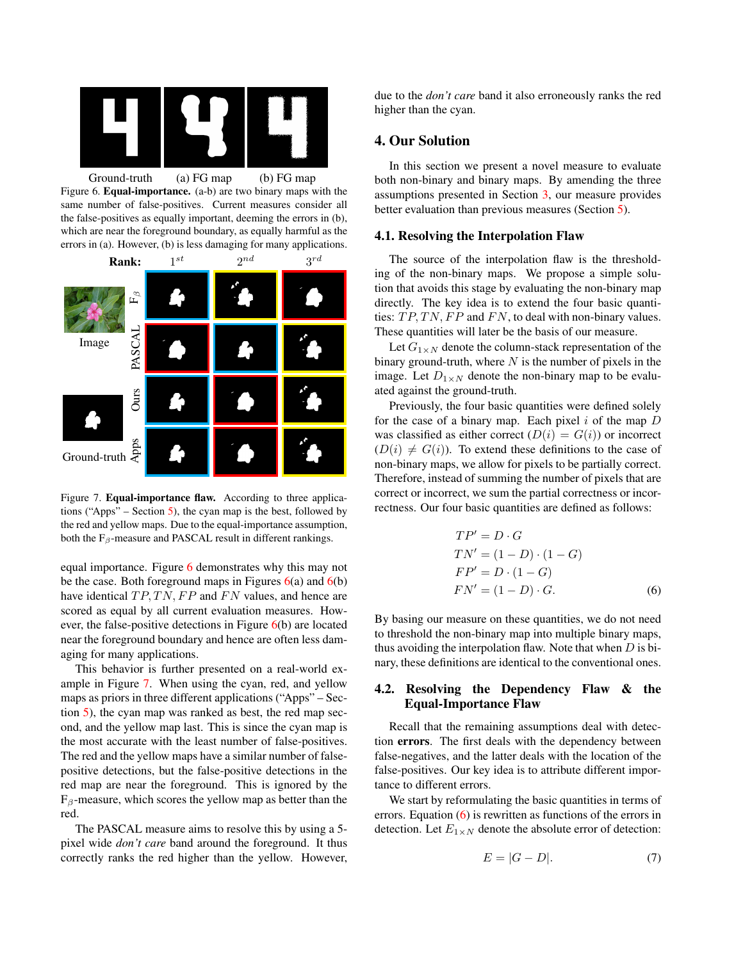

<span id="page-3-1"></span>Figure 6. Equal-importance. (a-b) are two binary maps with the same number of false-positives. Current measures consider all the false-positives as equally important, deeming the errors in (b), which are near the foreground boundary, as equally harmful as the errors in (a). However, (b) is less damaging for many applications.



<span id="page-3-2"></span>Figure 7. Equal-importance flaw. According to three applica-tions ("Apps" – Section [5\)](#page-4-0), the cyan map is the best, followed by the red and yellow maps. Due to the equal-importance assumption, both the  $F_\beta$ -measure and PASCAL result in different rankings.

equal importance. Figure [6](#page-3-1) demonstrates why this may not be the case. Both foreground maps in Figures  $6(a)$  $6(a)$  and  $6(b)$ have identical  $TP, TN, FP$  and  $FN$  values, and hence are scored as equal by all current evaluation measures. However, the false-positive detections in Figure [6\(](#page-3-1)b) are located near the foreground boundary and hence are often less damaging for many applications.

This behavior is further presented on a real-world example in Figure [7.](#page-3-2) When using the cyan, red, and yellow maps as priors in three different applications ("Apps" – Section [5\)](#page-4-0), the cyan map was ranked as best, the red map second, and the yellow map last. This is since the cyan map is the most accurate with the least number of false-positives. The red and the yellow maps have a similar number of falsepositive detections, but the false-positive detections in the red map are near the foreground. This is ignored by the  $F_\beta$ -measure, which scores the yellow map as better than the red.

The PASCAL measure aims to resolve this by using a 5 pixel wide *don't care* band around the foreground. It thus correctly ranks the red higher than the yellow. However, due to the *don't care* band it also erroneously ranks the red higher than the cyan.

## <span id="page-3-0"></span>4. Our Solution

In this section we present a novel measure to evaluate both non-binary and binary maps. By amending the three assumptions presented in Section [3,](#page-1-0) our measure provides better evaluation than previous measures (Section [5\)](#page-4-0).

#### 4.1. Resolving the Interpolation Flaw

The source of the interpolation flaw is the thresholding of the non-binary maps. We propose a simple solution that avoids this stage by evaluating the non-binary map directly. The key idea is to extend the four basic quantities:  $TP, TN, FP$  and  $FN$ , to deal with non-binary values. These quantities will later be the basis of our measure.

Let  $G_{1\times N}$  denote the column-stack representation of the binary ground-truth, where  $N$  is the number of pixels in the image. Let  $D_{1\times N}$  denote the non-binary map to be evaluated against the ground-truth.

Previously, the four basic quantities were defined solely for the case of a binary map. Each pixel  $i$  of the map  $D$ was classified as either correct  $(D(i) = G(i))$  or incorrect  $(D(i) \neq G(i))$ . To extend these definitions to the case of non-binary maps, we allow for pixels to be partially correct. Therefore, instead of summing the number of pixels that are correct or incorrect, we sum the partial correctness or incorrectness. Our four basic quantities are defined as follows:

<span id="page-3-3"></span>
$$
TP' = D \cdot G
$$
  
\n
$$
TN' = (1 - D) \cdot (1 - G)
$$
  
\n
$$
FP' = D \cdot (1 - G)
$$
  
\n
$$
FN' = (1 - D) \cdot G.
$$
 (6)

By basing our measure on these quantities, we do not need to threshold the non-binary map into multiple binary maps, thus avoiding the interpolation flaw. Note that when  $D$  is binary, these definitions are identical to the conventional ones.

## 4.2. Resolving the Dependency Flaw & the Equal-Importance Flaw

Recall that the remaining assumptions deal with detection errors. The first deals with the dependency between false-negatives, and the latter deals with the location of the false-positives. Our key idea is to attribute different importance to different errors.

We start by reformulating the basic quantities in terms of errors. Equation [\(6\)](#page-3-3) is rewritten as functions of the errors in detection. Let  $E_{1\times N}$  denote the absolute error of detection:

$$
E = |G - D|.\t\t(7)
$$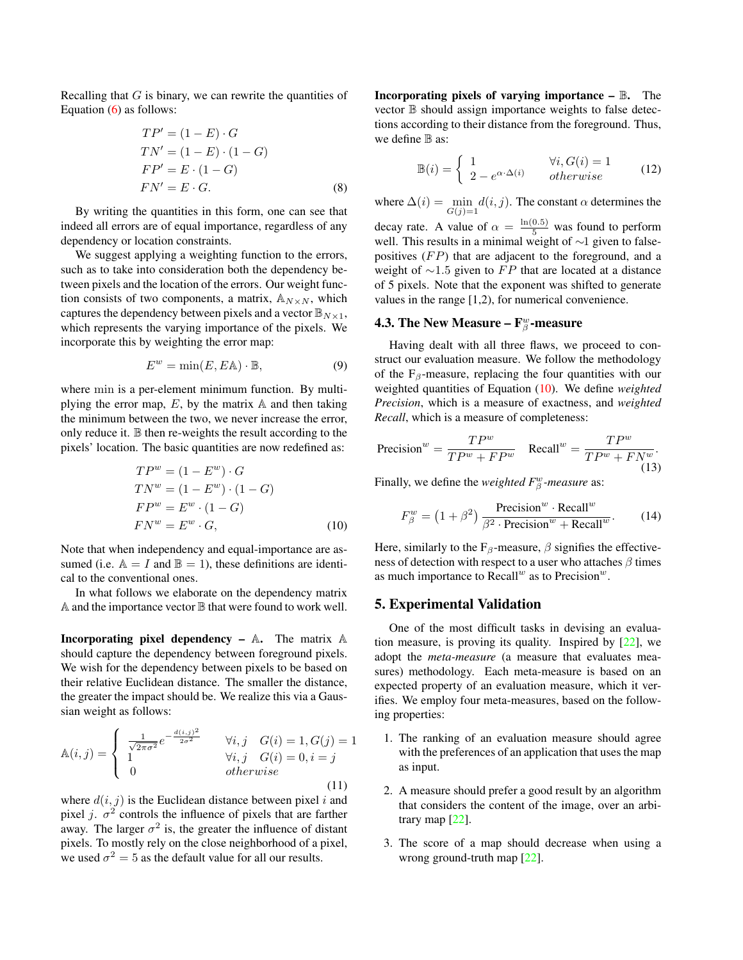<span id="page-4-2"></span>Recalling that  $G$  is binary, we can rewrite the quantities of Equation  $(6)$  as follows:

$$
TP' = (1 - E) \cdot G
$$
  
\n
$$
TN' = (1 - E) \cdot (1 - G)
$$
  
\n
$$
FP' = E \cdot (1 - G)
$$
  
\n
$$
FN' = E \cdot G.
$$
 (8)

By writing the quantities in this form, one can see that indeed all errors are of equal importance, regardless of any dependency or location constraints.

We suggest applying a weighting function to the errors, such as to take into consideration both the dependency between pixels and the location of the errors. Our weight function consists of two components, a matrix,  $\mathbb{A}_{N\times N}$ , which captures the dependency between pixels and a vector  $\mathbb{B}_{N\times 1}$ , which represents the varying importance of the pixels. We incorporate this by weighting the error map:

$$
E^w = \min(E, E\mathbb{A}) \cdot \mathbb{B},\tag{9}
$$

where min is a per-element minimum function. By multiplying the error map,  $E$ , by the matrix  $\mathbb A$  and then taking the minimum between the two, we never increase the error, only reduce it. B then re-weights the result according to the pixels' location. The basic quantities are now redefined as:

$$
TPw = (1 - Ew) \cdot G
$$
  
\n
$$
TNw = (1 - Ew) \cdot (1 - G)
$$
  
\n
$$
FPw = Ew \cdot (1 - G)
$$
  
\n
$$
FNw = Ew \cdot G,
$$
 (10)

Note that when independency and equal-importance are assumed (i.e.  $\mathbb{A} = I$  and  $\mathbb{B} = 1$ ), these definitions are identical to the conventional ones.

In what follows we elaborate on the dependency matrix  $A$  and the importance vector  $B$  that were found to work well.

**Incorporating pixel dependency – A.** The matrix  $\mathbb{A}$ should capture the dependency between foreground pixels. We wish for the dependency between pixels to be based on their relative Euclidean distance. The smaller the distance, the greater the impact should be. We realize this via a Gaussian weight as follows:

$$
\mathbb{A}(i,j) = \begin{cases}\n\frac{1}{\sqrt{2\pi\sigma^2}} e^{-\frac{d(i,j)^2}{2\sigma^2}} & \forall i, j \quad G(i) = 1, G(j) = 1 \\
1 & \forall i, j \quad G(i) = 0, i = j \\
0 & otherwise\n\end{cases}
$$
\n(11)

where  $d(i, j)$  is the Euclidean distance between pixel i and pixel j.  $\sigma^2$  controls the influence of pixels that are farther away. The larger  $\sigma^2$  is, the greater the influence of distant pixels. To mostly rely on the close neighborhood of a pixel, we used  $\sigma^2 = 5$  as the default value for all our results.

**Incorporating pixels of varying importance –**  $\mathbb{B}$ **.** The vector B should assign importance weights to false detections according to their distance from the foreground. Thus, we define  $\mathbb B$  as:

$$
\mathbb{B}(i) = \begin{cases} 1 & \forall i, G(i) = 1 \\ 2 - e^{\alpha \cdot \Delta(i)} & otherwise \end{cases}
$$
(12)

where  $\Delta(i) = \min_{G(j)=1} d(i, j)$ . The constant  $\alpha$  determines the decay rate. A value of  $\alpha = \frac{\ln(0.5)}{5}$  was found to perform well. This results in a minimal weight of ∼1 given to falsepositives  $(FP)$  that are adjacent to the foreground, and a weight of  $\sim$ 1.5 given to FP that are located at a distance of 5 pixels. Note that the exponent was shifted to generate values in the range [1,2), for numerical convenience.

# 4.3. The New Measure –  $\mathbf{F}^w_\beta$ -measure

Having dealt with all three flaws, we proceed to construct our evaluation measure. We follow the methodology of the  $F_\beta$ -measure, replacing the four quantities with our weighted quantities of Equation [\(10\)](#page-4-1). We define *weighted Precision*, which is a measure of exactness, and *weighted Recall*, which is a measure of completeness:

$$
\text{Precision}^w = \frac{TP^w}{TP^w + FP^w} \quad \text{Recall}^w = \frac{TP^w}{TP^w + FN^w}.
$$
\n(13)

Finally, we define the *weighted*  $F^w_\beta$ -measure as:

$$
F_{\beta}^{w} = (1 + \beta^{2}) \frac{\text{Precision}^{w} \cdot \text{Recall}^{w}}{\beta^{2} \cdot \text{Precision}^{w} + \text{Recall}^{w}}.
$$
 (14)

<span id="page-4-1"></span>Here, similarly to the  $F_\beta$ -measure,  $\beta$  signifies the effectiveness of detection with respect to a user who attaches  $\beta$  times as much importance to  $Recall<sup>w</sup>$  as to Precision<sup>w</sup>.

### <span id="page-4-0"></span>5. Experimental Validation

One of the most difficult tasks in devising an evaluation measure, is proving its quality. Inspired by  $[22]$ , we adopt the *meta-measure* (a measure that evaluates measures) methodology. Each meta-measure is based on an expected property of an evaluation measure, which it verifies. We employ four meta-measures, based on the following properties:

- 1. The ranking of an evaluation measure should agree with the preferences of an application that uses the map as input.
- 2. A measure should prefer a good result by an algorithm that considers the content of the image, over an arbitrary map [\[22\]](#page-7-18).
- 3. The score of a map should decrease when using a wrong ground-truth map [\[22\]](#page-7-18).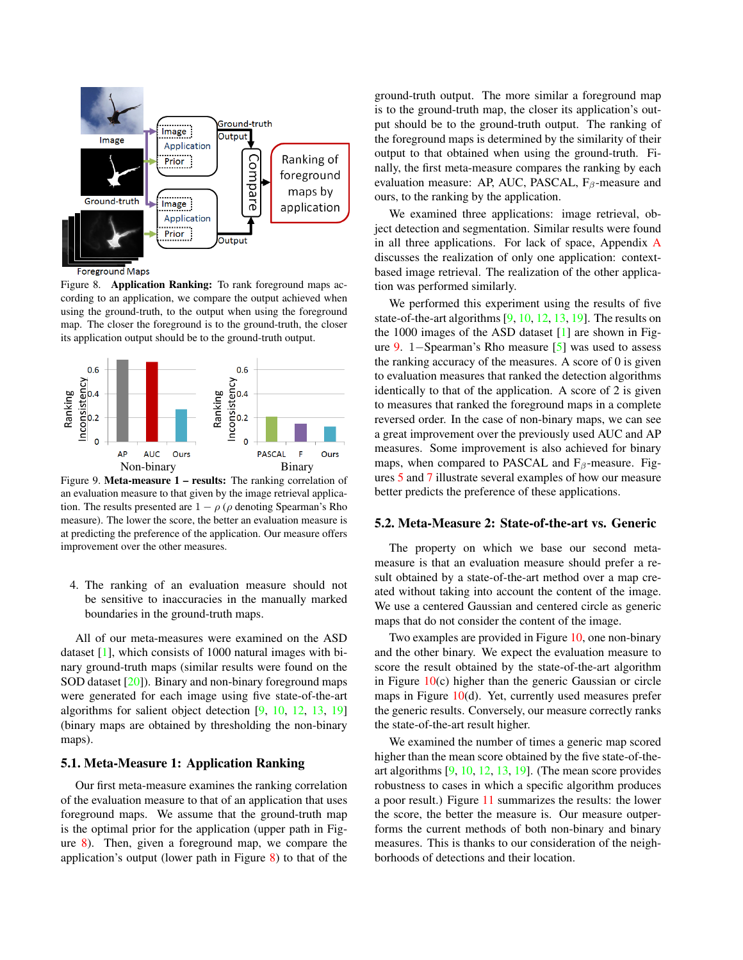<span id="page-5-2"></span>

<span id="page-5-0"></span>**Foreground Maps** 

Figure 8. Application Ranking: To rank foreground maps according to an application, we compare the output achieved when using the ground-truth, to the output when using the foreground map. The closer the foreground is to the ground-truth, the closer its application output should be to the ground-truth output.



<span id="page-5-1"></span>Figure 9. Meta-measure 1 – results: The ranking correlation of an evaluation measure to that given by the image retrieval application. The results presented are  $1 - \rho$  ( $\rho$  denoting Spearman's Rho measure). The lower the score, the better an evaluation measure is at predicting the preference of the application. Our measure offers improvement over the other measures.

4. The ranking of an evaluation measure should not be sensitive to inaccuracies in the manually marked boundaries in the ground-truth maps.

All of our meta-measures were examined on the ASD dataset [\[1\]](#page-7-9), which consists of 1000 natural images with binary ground-truth maps (similar results were found on the SOD dataset [\[20\]](#page-7-20)). Binary and non-binary foreground maps were generated for each image using five state-of-the-art algorithms for salient object detection [\[9,](#page-7-10) [10,](#page-7-0) [12,](#page-7-11) [13,](#page-7-12) [19\]](#page-7-13) (binary maps are obtained by thresholding the non-binary maps).

#### 5.1. Meta-Measure 1: Application Ranking

Our first meta-measure examines the ranking correlation of the evaluation measure to that of an application that uses foreground maps. We assume that the ground-truth map is the optimal prior for the application (upper path in Figure [8\)](#page-5-0). Then, given a foreground map, we compare the application's output (lower path in Figure [8\)](#page-5-0) to that of the ground-truth output. The more similar a foreground map is to the ground-truth map, the closer its application's output should be to the ground-truth output. The ranking of the foreground maps is determined by the similarity of their output to that obtained when using the ground-truth. Finally, the first meta-measure compares the ranking by each evaluation measure: AP, AUC, PASCAL,  $F_\beta$ -measure and ours, to the ranking by the application.

We examined three applications: image retrieval, object detection and segmentation. Similar results were found in all three applications. For lack of space, Appendix [A](#page-7-21) discusses the realization of only one application: contextbased image retrieval. The realization of the other application was performed similarly.

We performed this experiment using the results of five state-of-the-art algorithms  $[9, 10, 12, 13, 19]$  $[9, 10, 12, 13, 19]$  $[9, 10, 12, 13, 19]$  $[9, 10, 12, 13, 19]$  $[9, 10, 12, 13, 19]$  $[9, 10, 12, 13, 19]$  $[9, 10, 12, 13, 19]$  $[9, 10, 12, 13, 19]$  $[9, 10, 12, 13, 19]$ . The results on the 1000 images of the ASD dataset [\[1\]](#page-7-9) are shown in Figure [9.](#page-5-1) 1−Spearman's Rho measure [\[5\]](#page-7-22) was used to assess the ranking accuracy of the measures. A score of 0 is given to evaluation measures that ranked the detection algorithms identically to that of the application. A score of 2 is given to measures that ranked the foreground maps in a complete reversed order. In the case of non-binary maps, we can see a great improvement over the previously used AUC and AP measures. Some improvement is also achieved for binary maps, when compared to PASCAL and  $F_\beta$ -measure. Figures [5](#page-2-2) and [7](#page-3-2) illustrate several examples of how our measure better predicts the preference of these applications.

#### 5.2. Meta-Measure 2: State-of-the-art vs. Generic

The property on which we base our second metameasure is that an evaluation measure should prefer a result obtained by a state-of-the-art method over a map created without taking into account the content of the image. We use a centered Gaussian and centered circle as generic maps that do not consider the content of the image.

Two examples are provided in Figure [10,](#page-6-0) one non-binary and the other binary. We expect the evaluation measure to score the result obtained by the state-of-the-art algorithm in Figure  $10(c)$  $10(c)$  higher than the generic Gaussian or circle maps in Figure  $10(d)$  $10(d)$ . Yet, currently used measures prefer the generic results. Conversely, our measure correctly ranks the state-of-the-art result higher.

We examined the number of times a generic map scored higher than the mean score obtained by the five state-of-theart algorithms [\[9,](#page-7-10) [10,](#page-7-0) [12,](#page-7-11) [13,](#page-7-12) [19\]](#page-7-13). (The mean score provides robustness to cases in which a specific algorithm produces a poor result.) Figure [11](#page-6-1) summarizes the results: the lower the score, the better the measure is. Our measure outperforms the current methods of both non-binary and binary measures. This is thanks to our consideration of the neighborhoods of detections and their location.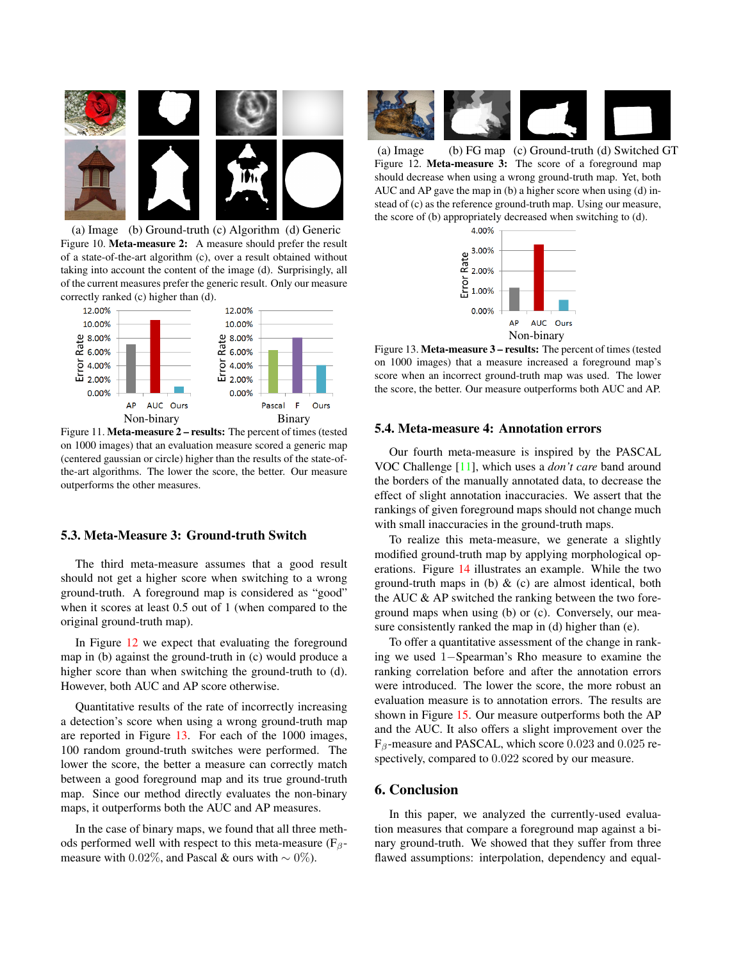<span id="page-6-4"></span>

<span id="page-6-0"></span>(a) Image (b) Ground-truth (c) Algorithm (d) Generic Figure 10. Meta-measure 2: A measure should prefer the result of a state-of-the-art algorithm (c), over a result obtained without taking into account the content of the image (d). Surprisingly, all of the current measures prefer the generic result. Only our measure correctly ranked (c) higher than (d).



<span id="page-6-1"></span>Figure 11. Meta-measure 2 – results: The percent of times (tested on 1000 images) that an evaluation measure scored a generic map (centered gaussian or circle) higher than the results of the state-ofthe-art algorithms. The lower the score, the better. Our measure outperforms the other measures.

### 5.3. Meta-Measure 3: Ground-truth Switch

The third meta-measure assumes that a good result should not get a higher score when switching to a wrong ground-truth. A foreground map is considered as "good" when it scores at least 0.5 out of 1 (when compared to the original ground-truth map).

In Figure [12](#page-6-2) we expect that evaluating the foreground map in (b) against the ground-truth in (c) would produce a higher score than when switching the ground-truth to (d). However, both AUC and AP score otherwise.

Quantitative results of the rate of incorrectly increasing a detection's score when using a wrong ground-truth map are reported in Figure [13.](#page-6-3) For each of the 1000 images, 100 random ground-truth switches were performed. The lower the score, the better a measure can correctly match between a good foreground map and its true ground-truth map. Since our method directly evaluates the non-binary maps, it outperforms both the AUC and AP measures.

In the case of binary maps, we found that all three methods performed well with respect to this meta-measure ( $F_\beta$ measure with 0.02%, and Pascal & ours with  $\sim$  0%).



<span id="page-6-2"></span>(a) Image (b) FG map (c) Ground-truth (d) Switched GT Figure 12. Meta-measure 3: The score of a foreground map should decrease when using a wrong ground-truth map. Yet, both AUC and AP gave the map in (b) a higher score when using (d) instead of (c) as the reference ground-truth map. Using our measure, the score of (b) appropriately decreased when switching to (d).



<span id="page-6-3"></span>Figure 13. Meta-measure 3 – results: The percent of times (tested on 1000 images) that a measure increased a foreground map's score when an incorrect ground-truth map was used. The lower the score, the better. Our measure outperforms both AUC and AP.

#### 5.4. Meta-measure 4: Annotation errors

Our fourth meta-measure is inspired by the PASCAL VOC Challenge [\[11\]](#page-7-1), which uses a *don't care* band around the borders of the manually annotated data, to decrease the effect of slight annotation inaccuracies. We assert that the rankings of given foreground maps should not change much with small inaccuracies in the ground-truth maps.

To realize this meta-measure, we generate a slightly modified ground-truth map by applying morphological operations. Figure [14](#page-7-23) illustrates an example. While the two ground-truth maps in (b)  $\&$  (c) are almost identical, both the AUC & AP switched the ranking between the two foreground maps when using (b) or (c). Conversely, our measure consistently ranked the map in (d) higher than (e).

To offer a quantitative assessment of the change in ranking we used 1−Spearman's Rho measure to examine the ranking correlation before and after the annotation errors were introduced. The lower the score, the more robust an evaluation measure is to annotation errors. The results are shown in Figure [15.](#page-7-24) Our measure outperforms both the AP and the AUC. It also offers a slight improvement over the  $F_\beta$ -measure and PASCAL, which score 0.023 and 0.025 respectively, compared to 0.022 scored by our measure.

## 6. Conclusion

In this paper, we analyzed the currently-used evaluation measures that compare a foreground map against a binary ground-truth. We showed that they suffer from three flawed assumptions: interpolation, dependency and equal-